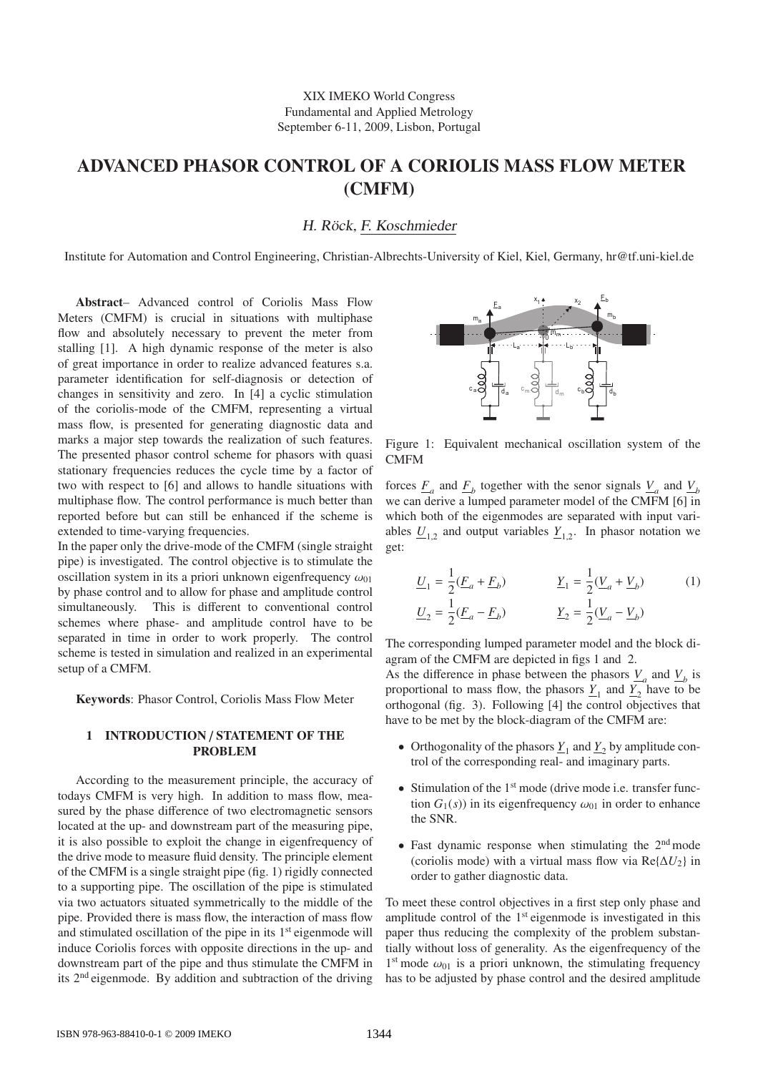# **ADVANCED PHASOR CONTROL OF A CORIOLIS MASS FLOW METER (CMFM)**

H. Röck, F. Koschmieder

Institute for Automation and Control Engineering, Christian-Albrechts-University of Kiel, Kiel, Germany, hr@tf.uni-kiel.de

**Abstract**– Advanced control of Coriolis Mass Flow Meters (CMFM) is crucial in situations with multiphase flow and absolutely necessary to prevent the meter from stalling [1]. A high dynamic response of the meter is also of great importance in order to realize advanced features s.a. parameter identification for self-diagnosis or detection of changes in sensitivity and zero. In [4] a cyclic stimulation of the coriolis-mode of the CMFM, representing a virtual mass flow, is presented for generating diagnostic data and marks a major step towards the realization of such features. The presented phasor control scheme for phasors with quasi stationary frequencies reduces the cycle time by a factor of two with respect to [6] and allows to handle situations with multiphase flow. The control performance is much better than reported before but can still be enhanced if the scheme is extended to time-varying frequencies.

In the paper only the drive-mode of the CMFM (single straight pipe) is investigated. The control objective is to stimulate the oscillation system in its a priori unknown eigenfrequency  $\omega_{01}$ by phase control and to allow for phase and amplitude control simultaneously. This is different to conventional control schemes where phase- and amplitude control have to be separated in time in order to work properly. The control scheme is tested in simulation and realized in an experimental setup of a CMFM.

**Keywords**: Phasor Control, Coriolis Mass Flow Meter

### **1 INTRODUCTION** / **STATEMENT OF THE PROBLEM**

According to the measurement principle, the accuracy of todays CMFM is very high. In addition to mass flow, measured by the phase difference of two electromagnetic sensors located at the up- and downstream part of the measuring pipe, it is also possible to exploit the change in eigenfrequency of the drive mode to measure fluid density. The principle element of the CMFM is a single straight pipe (fig. 1) rigidly connected to a supporting pipe. The oscillation of the pipe is stimulated via two actuators situated symmetrically to the middle of the pipe. Provided there is mass flow, the interaction of mass flow and stimulated oscillation of the pipe in its  $1<sup>st</sup>$  eigenmode will induce Coriolis forces with opposite directions in the up- and downstream part of the pipe and thus stimulate the CMFM in its 2nd eigenmode. By addition and subtraction of the driving



Figure 1: Equivalent mechanical oscillation system of the **CMFM** 

forces  $\underline{F}_a$  and  $\underline{F}_b$  together with the senor signals  $\underline{V}_a$  and  $\underline{V}_b$ we can derive a lumped parameter model of the CMFM [6] in which both of the eigenmodes are separated with input variables  $\underline{U}_{1,2}$  and output variables  $\underline{Y}_{1,2}$ . In phasor notation we get:

$$
\underline{U}_1 = \frac{1}{2} (\underline{F}_a + \underline{F}_b) \qquad \underline{Y}_1 = \frac{1}{2} (\underline{V}_a + \underline{V}_b) \qquad (1)
$$
  

$$
\underline{U}_2 = \frac{1}{2} (\underline{F}_a - \underline{F}_b) \qquad \underline{Y}_2 = \frac{1}{2} (\underline{V}_a - \underline{V}_b)
$$

The corresponding lumped parameter model and the block diagram of the CMFM are depicted in figs 1 and 2.

As the difference in phase between the phasors  $\underline{V}_a$  and  $\underline{V}_b$  is proportional to mass flow, the phasors  $Y_1$  and  $Y_2$  have to be orthogonal (fig. 3). Following [4] the control objectives that have to be met by the block-diagram of the CMFM are:

- Orthogonality of the phasors  $\underline{Y}_1$  and  $\underline{Y}_2$  by amplitude control of the corresponding real- and imaginary parts.
- Stimulation of the  $1<sup>st</sup>$  mode (drive mode i.e. transfer function  $G_1(s)$ ) in its eigenfrequency  $\omega_{01}$  in order to enhance the SNR.
- Fast dynamic response when stimulating the 2nd mode (coriolis mode) with a virtual mass flow via  $\text{Re} \{\Delta U_2\}$  in order to gather diagnostic data.

To meet these control objectives in a first step only phase and amplitude control of the 1<sup>st</sup> eigenmode is investigated in this paper thus reducing the complexity of the problem substantially without loss of generality. As the eigenfrequency of the  $1<sup>st</sup>$  mode  $\omega_{01}$  is a priori unknown, the stimulating frequency has to be adjusted by phase control and the desired amplitude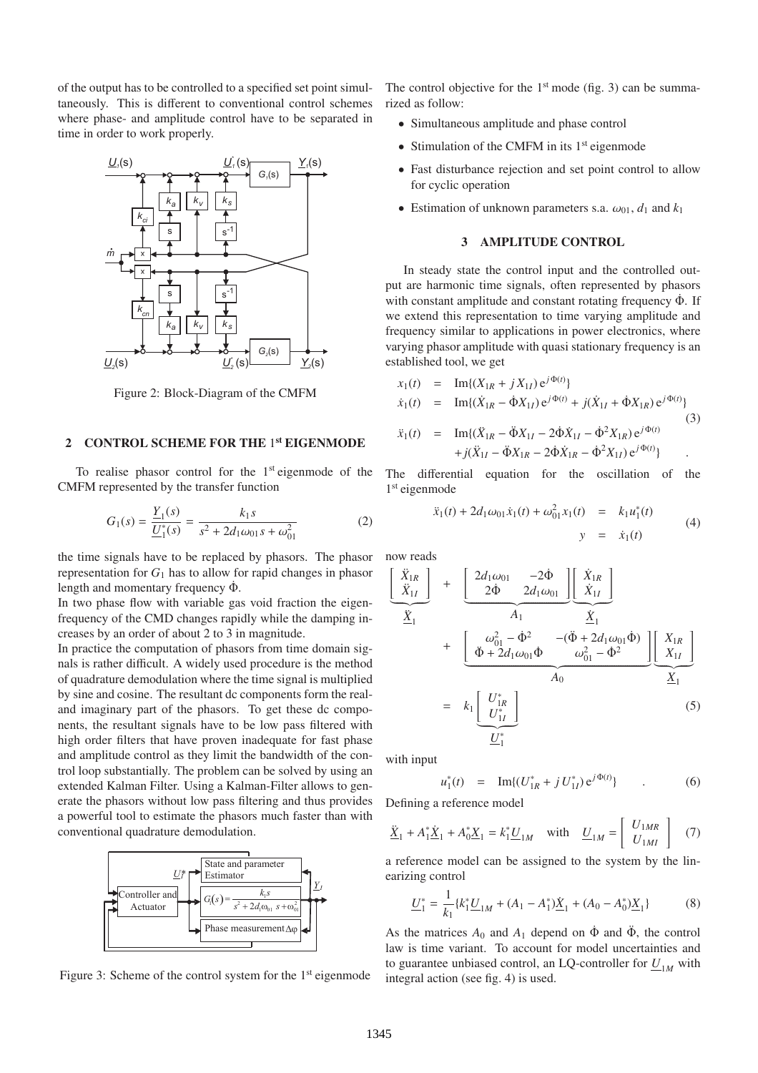of the output has to be controlled to a specified set point simultaneously. This is different to conventional control schemes where phase- and amplitude control have to be separated in time in order to work properly.



Figure 2: Block-Diagram of the CMFM

## **2 CONTROL SCHEME FOR THE** 1 **st EIGENMODE**

To realise phasor control for the  $1<sup>st</sup>$  eigenmode of the CMFM represented by the transfer function

$$
G_1(s) = \frac{Y_1(s)}{U_1^*(s)} = \frac{k_1 s}{s^2 + 2d_1 \omega_{01} s + \omega_{01}^2}
$$
 (2)

the time signals have to be replaced by phasors. The phasor representation for  $G_1$  has to allow for rapid changes in phasor length and momentary frequency  $\dot{\Phi}$ .

In two phase flow with variable gas void fraction the eigenfrequency of the CMD changes rapidly while the damping increases by an order of about 2 to 3 in magnitude.

In practice the computation of phasors from time domain signals is rather difficult. A widely used procedure is the method of quadrature demodulation where the time signal is multiplied by sine and cosine. The resultant dc components form the realand imaginary part of the phasors. To get these dc components, the resultant signals have to be low pass filtered with high order filters that have proven inadequate for fast phase and amplitude control as they limit the bandwidth of the control loop substantially. The problem can be solved by using an extended Kalman Filter. Using a Kalman-Filter allows to generate the phasors without low pass filtering and thus provides a powerful tool to estimate the phasors much faster than with conventional quadrature demodulation.



Figure 3: Scheme of the control system for the 1<sup>st</sup> eigenmode

The control objective for the  $1<sup>st</sup>$  mode (fig. 3) can be summarized as follow:

- Simultaneous amplitude and phase control
- Stimulation of the CMFM in its  $1<sup>st</sup>$  eigenmode
- Fast disturbance rejection and set point control to allow for cyclic operation
- Estimation of unknown parameters s.a.  $\omega_{01}$ ,  $d_1$  and  $k_1$

#### **3 AMPLITUDE CONTROL**

In steady state the control input and the controlled output are harmonic time signals, often represented by phasors with constant amplitude and constant rotating frequency  $\dot{\Phi}$ . If we extend this representation to time varying amplitude and frequency similar to applications in power electronics, where varying phasor amplitude with quasi stationary frequency is an established tool, we get

$$
x_1(t) = Im\{(X_{1R} + jX_{1I})e^{j\Phi(t)}\}
$$
  
\n
$$
\dot{x}_1(t) = Im\{(\dot{X}_{1R} - \dot{\Phi}X_{1I})e^{j\Phi(t)} + j(\dot{X}_{1I} + \dot{\Phi}X_{1R})e^{j\Phi(t)}\}
$$
  
\n
$$
\ddot{x}_1(t) = Im\{(\ddot{X}_{1R} - \ddot{\Phi}X_{1I} - 2\dot{\Phi}\dot{X}_{1I} - \dot{\Phi}^2X_{1R})e^{j\Phi(t)} + j(\ddot{X}_{1I} - \ddot{\Phi}X_{1R} - 2\dot{\Phi}\dot{X}_{1R} - \dot{\Phi}^2X_{1I})e^{j\Phi(t)}\}.
$$
\n(3)

The differential equation for the oscillation of the 1 st eigenmode

$$
\ddot{x}_1(t) + 2d_1\omega_{01}\dot{x}_1(t) + \omega_{01}^2 x_1(t) = k_1u_1^*(t)
$$
  
\n
$$
y = \dot{x}_1(t)
$$
\n(4)

now reads  
\n
$$
\begin{bmatrix}\n\ddot{X}_{1R} \\
\ddot{X}_{1I}\n\end{bmatrix} + \begin{bmatrix}\n2d_1\omega_{01} & -2\dot{\Phi} \\
2\dot{\Phi} & 2d_1\omega_{01}\n\end{bmatrix}\n\begin{bmatrix}\n\dot{X}_{1R} \\
\dot{X}_{1I}\n\end{bmatrix}
$$
\n
$$
+ \begin{bmatrix}\n\omega_{01}^2 - \dot{\Phi}^2 & -(\ddot{\Phi} + 2d_1\omega_{01}\dot{\Phi}) \\
\ddot{\Phi} + 2d_1\omega_{01}\dot{\Phi} & \omega_{01}^2 - \dot{\Phi}^2\n\end{bmatrix}\n\begin{bmatrix}\nX_{1R} \\
X_{1I}\n\end{bmatrix}
$$
\n
$$
= k_1 \begin{bmatrix}\nU_{1R}^* \\
U_{1I}^*\n\end{bmatrix}
$$
\n(5)

with input

$$
u_1^*(t) = \operatorname{Im}\{(U_{1R}^* + j U_{1I}^*) e^{j\Phi(t)}\} \tag{6}
$$

Defining a reference model

$$
\underline{\ddot{X}}_1 + A_1^* \underline{\dot{X}}_1 + A_0^* \underline{X}_1 = k_1^* \underline{U}_{1M} \quad \text{with} \quad \underline{U}_{1M} = \left[ \begin{array}{c} U_{1MR} \\ U_{1MI} \end{array} \right] \tag{7}
$$

a reference model can be assigned to the system by the linearizing control

$$
\underline{U}_1^* = \frac{1}{k_1} \{ k_1^* \underline{U}_{1M} + (A_1 - A_1^*) \underline{\dot{X}}_1 + (A_0 - A_0^*) \underline{X}_1 \}
$$
(8)

As the matrices  $A_0$  and  $A_1$  depend on  $\dot{\Phi}$  and  $\ddot{\Phi}$ , the control law is time variant. To account for model uncertainties and to guarantee unbiased control, an LQ-controller for  $U_{1M}$  with integral action (see fig. 4) is used.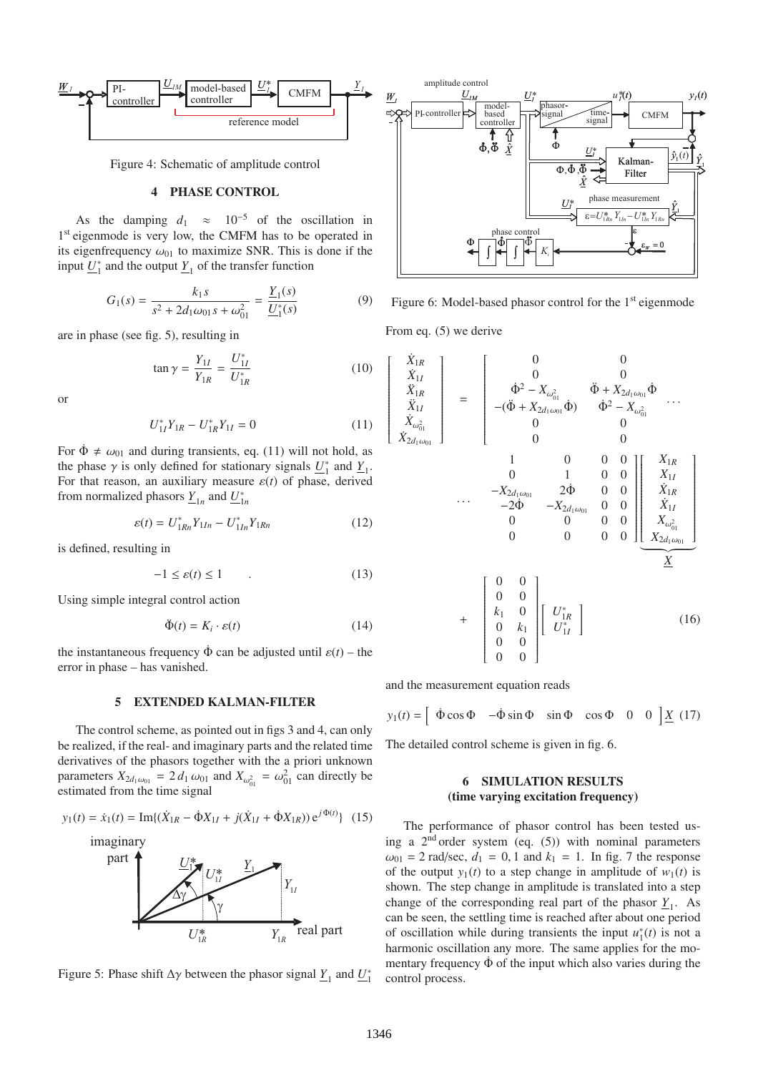

Figure 4: Schematic of amplitude control

## **4 PHASE CONTROL**

As the damping  $d_1 \approx 10^{-5}$  of the oscillation in 1<sup>st</sup> eigenmode is very low, the CMFM has to be operated in its eigenfrequency  $\omega_{01}$  to maximize SNR. This is done if the input  $\underline{U}_1^*$  and the output  $\underline{Y}_1$  of the transfer function

$$
G_1(s) = \frac{k_1 s}{s^2 + 2d_1 \omega_{01} s + \omega_{01}^2} = \frac{\underline{Y}_1(s)}{\underline{U}_1^*(s)}
$$
(9)

are in phase (see fig. 5), resulting in

$$
\tan \gamma = \frac{Y_{1I}}{Y_{1R}} = \frac{U_{1I}^*}{U_{1R}^*}
$$
 (10)

or

$$
U_{1I}^* Y_{1R} - U_{1R}^* Y_{1I} = 0 \tag{11}
$$

For  $\dot{\Phi} \neq \omega_{01}$  and during transients, eq. (11) will not hold, as the phase  $\gamma$  is only defined for stationary signals  $\underline{U}_1^*$  and  $\underline{Y}_1$ . For that reason, an auxiliary measure  $\varepsilon(t)$  of phase, derived from normalized phasors  $\underline{Y}_{1n}$  and  $\underline{U}_{1n}^*$ 

$$
\varepsilon(t) = U_{1Rn}^* Y_{1In} - U_{1In}^* Y_{1Rn}
$$
 (12)

is defined, resulting in

$$
-1 \le \varepsilon(t) \le 1 \tag{13}
$$

Using simple integral control action

$$
\ddot{\Phi}(t) = K_i \cdot \varepsilon(t) \tag{14}
$$

the instantaneous frequency  $\dot{\Phi}$  can be adjusted until  $\varepsilon(t)$  – the error in phase – has vanished.

#### **5 EXTENDED KALMAN-FILTER**

The control scheme, as pointed out in figs 3 and 4, can only be realized, if the real- and imaginary parts and the related time derivatives of the phasors together with the a priori unknown parameters  $X_{2d_1\omega_{01}} = 2 d_1 \omega_{01}$  and  $X_{\omega_{01}^2} = \omega_{01}^2$  can directly be estimated from the time signal

$$
y_1(t) = \dot{x}_1(t) = \text{Im}\{(\dot{X}_{1R} - \dot{\Phi}X_{1I} + j(\dot{X}_{1I} + \dot{\Phi}X_{1R}))e^{j\Phi(t)}\} \tag{15}
$$



Figure 5: Phase shift  $\Delta \gamma$  between the phasor signal  $\underline{Y}_1$  and  $\underline{U}_1^*$ 



Figure 6: Model-based phasor control for the  $1<sup>st</sup>$  eigenmode

From eq. (5) we derive

 $\mathbf{r}$ 

$$
\begin{bmatrix}\n\dot{X}_{1R} \\
\dot{X}_{1I} \\
\dot{X}_{1R} \\
\dot{X}_{1I} \\
\dot{X}_{2d_1\omega_{01}}\n\end{bmatrix} = \begin{bmatrix}\n0 & 0 & 0 \\
0 & 0 & 0 \\
0 & 0 & 0 \\
-\left(\ddot{\Phi} + X_{2d_1\omega_{01}}\dot{\Phi}\right) & \dot{\Phi}^2 - X_{\omega_{01}^2} \\
0 & 0 & 0 \\
0 & 0 & 0\n\end{bmatrix}\n\begin{bmatrix}\nX_{1R} \\
X_{2d_1\omega_{01}} \\
0 & 0\n\end{bmatrix}
$$
\n...\n
$$
\begin{bmatrix}\n1 & 0 & 0 & 0 \\
0 & 1 & 0 & 0 \\
-X_{2d_1\omega_{01}} & 2\dot{\Phi} & 0 & 0 \\
0 & 0 & 0 & 0 & 0 \\
0 & 0 & 0 & 0 & 0\n\end{bmatrix}\n\begin{bmatrix}\nX_{1R} \\
X_{1I} \\
X_{1R} \\
X_{1R} \\
X_{1R} \\
X_{1R} \\
X_{1R} \\
X_{0R} \\
X_{1R} \\
X_{0R} \\
X_{1R} \\
X_{0R} \\
X_{1R} \\
X_{1R} \\
X_{1R} \\
X_{1R} \\
X_{1R} \\
X_{1R} \\
X_{1R} \\
X_{1R} \\
X_{1R} \\
X_{1R} \\
X_{1R} \\
X_{1R} \\
X_{1R} \\
X_{1R} \\
X_{1R} \\
X_{1R} \\
X_{1R} \\
X_{1R} \\
X_{1R} \\
X_{1R} \\
X_{1R} \\
X_{1R} \\
X_{1R} \\
X_{1R} \\
X_{1R} \\
X_{1R} \\
X_{1R} \\
X_{1R} \\
X_{1R} \\
X_{1R} \\
X_{1R} \\
X_{1R} \\
X_{1R} \\
X_{1R} \\
X_{1R} \\
X_{1R} \\
X_{1R} \\
X_{1R} \\
X_{1R} \\
X_{1R} \\
X_{1R} \\
X_{1R} \\
X_{1R} \\
X_{1R} \\
X_{1R} \\
X_{1R} \\
X_{1R} \\
X_{1R} \\
X_{1R} \\
X_{1R} \\
X_{1R} \\
X_{1R} \\
X_{1R} \\
X_{1R} \\
X_{1R} \\
X_{1R} \\
X_{1R} \\
X_{1R} \\
X_{1R} \\
X_{1R} \\
X_{1R} \\
X_{1R} \\
$$

and the measurement equation reads

 $y_1(t) = \begin{bmatrix} \dot{\Phi} \cos \Phi & -\dot{\Phi} \sin \Phi & \sin \Phi & \cos \Phi & 0 & 0 \end{bmatrix} \underline{X}$  (17)

The detailed control scheme is given in fig. 6.

## **6 SIMULATION RESULTS (time varying excitation frequency)**

The performance of phasor control has been tested using a  $2<sup>nd</sup>$  order system (eq. (5)) with nominal parameters  $\omega_{01} = 2 \text{ rad/sec}, d_1 = 0, 1 \text{ and } k_1 = 1.$  In fig. 7 the response of the output  $y_1(t)$  to a step change in amplitude of  $w_1(t)$  is shown. The step change in amplitude is translated into a step change of the corresponding real part of the phasor  $\underline{Y}_1$ . As can be seen, the settling time is reached after about one period of oscillation while during transients the input  $u_1^*(t)$  is not a harmonic oscillation any more. The same applies for the momentary frequency  $\dot{\Phi}$  of the input which also varies during the control process.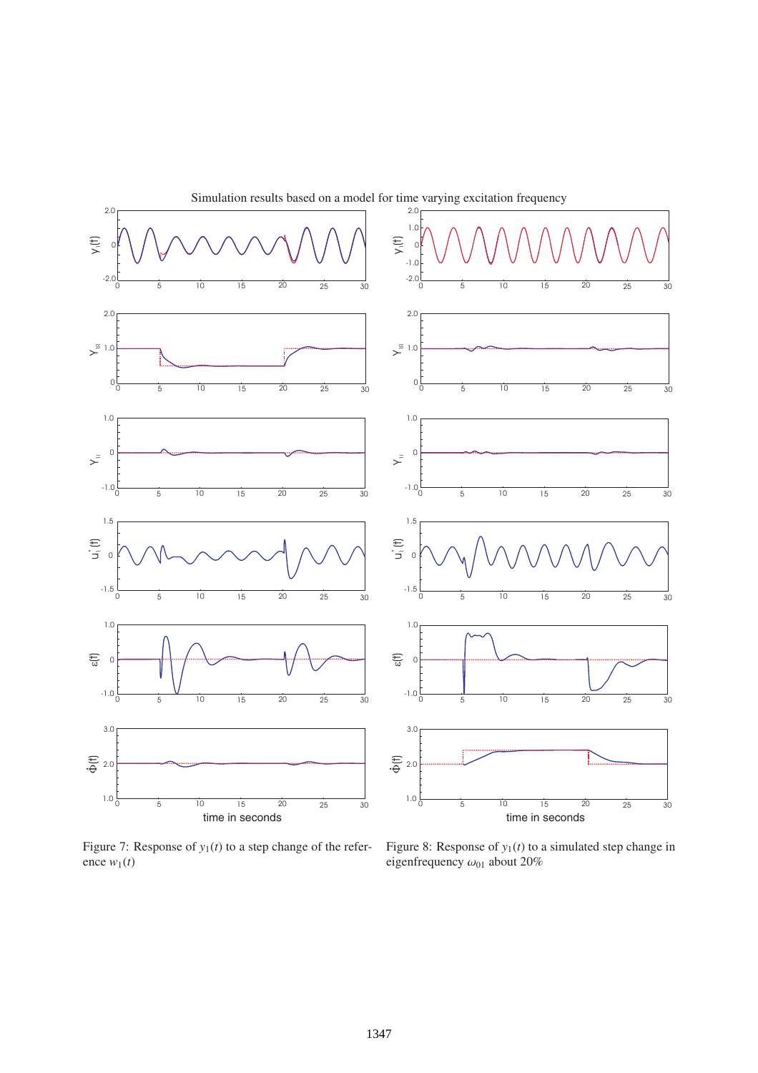

Simulation results based on a model for time varying excitation frequency

Figure 7: Response of  $y_1(t)$  to a step change of the reference  $w_1(t)$ 

Figure 8: Response of  $y_1(t)$  to a simulated step change in eigenfrequency  $\omega_{01}$  about 20%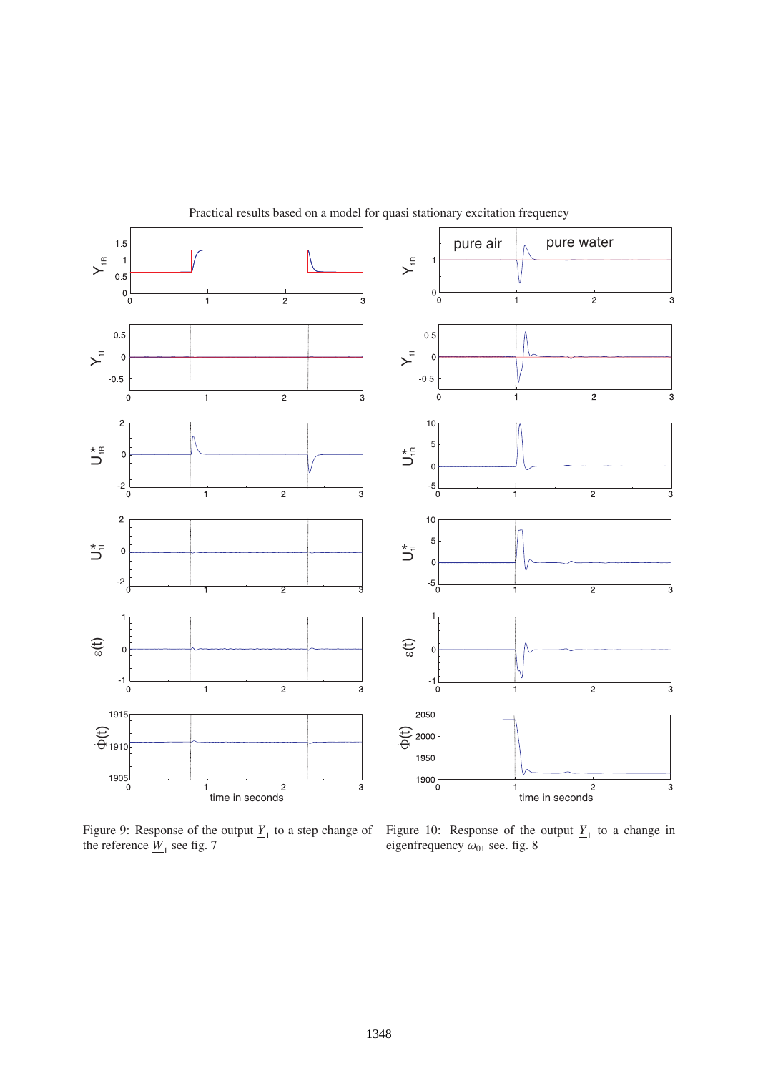

Practical results based on a model for quasi stationary excitation frequency

Figure 9: Response of the output  $Y_1$  to a step change of the reference  $\underline{W}_1$  see fig. 7

Figure 10: Response of the output  $Y_1$  to a change in eigenfrequency  $\omega_{01}$  see. fig. 8